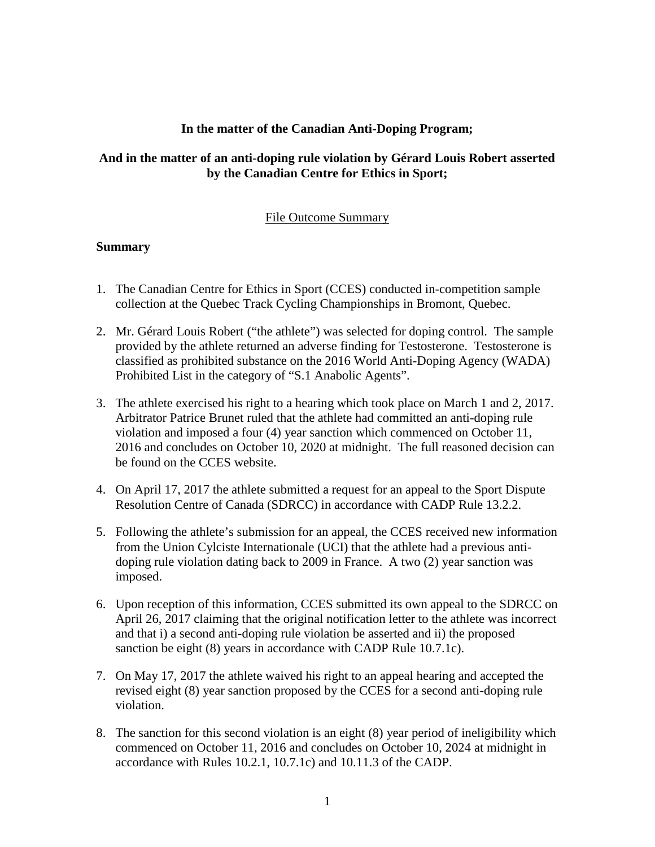## **In the matter of the Canadian Anti-Doping Program;**

## **And in the matter of an anti-doping rule violation by Gérard Louis Robert asserted by the Canadian Centre for Ethics in Sport;**

## File Outcome Summary

## **Summary**

- 1. The Canadian Centre for Ethics in Sport (CCES) conducted in-competition sample collection at the Quebec Track Cycling Championships in Bromont, Quebec.
- 2. Mr. Gérard Louis Robert ("the athlete") was selected for doping control. The sample provided by the athlete returned an adverse finding for Testosterone. Testosterone is classified as prohibited substance on the 2016 World Anti-Doping Agency (WADA) Prohibited List in the category of "S.1 Anabolic Agents".
- 3. The athlete exercised his right to a hearing which took place on March 1 and 2, 2017. Arbitrator Patrice Brunet ruled that the athlete had committed an anti-doping rule violation and imposed a four (4) year sanction which commenced on October 11, 2016 and concludes on October 10, 2020 at midnight. The full reasoned decision can be found on the CCES website.
- 4. On April 17, 2017 the athlete submitted a request for an appeal to the Sport Dispute Resolution Centre of Canada (SDRCC) in accordance with CADP Rule 13.2.2.
- 5. Following the athlete's submission for an appeal, the CCES received new information from the Union Cylciste Internationale (UCI) that the athlete had a previous antidoping rule violation dating back to 2009 in France. A two (2) year sanction was imposed.
- 6. Upon reception of this information, CCES submitted its own appeal to the SDRCC on April 26, 2017 claiming that the original notification letter to the athlete was incorrect and that i) a second anti-doping rule violation be asserted and ii) the proposed sanction be eight (8) years in accordance with CADP Rule 10.7.1c).
- 7. On May 17, 2017 the athlete waived his right to an appeal hearing and accepted the revised eight (8) year sanction proposed by the CCES for a second anti-doping rule violation.
- 8. The sanction for this second violation is an eight (8) year period of ineligibility which commenced on October 11, 2016 and concludes on October 10, 2024 at midnight in accordance with Rules 10.2.1, 10.7.1c) and 10.11.3 of the CADP.